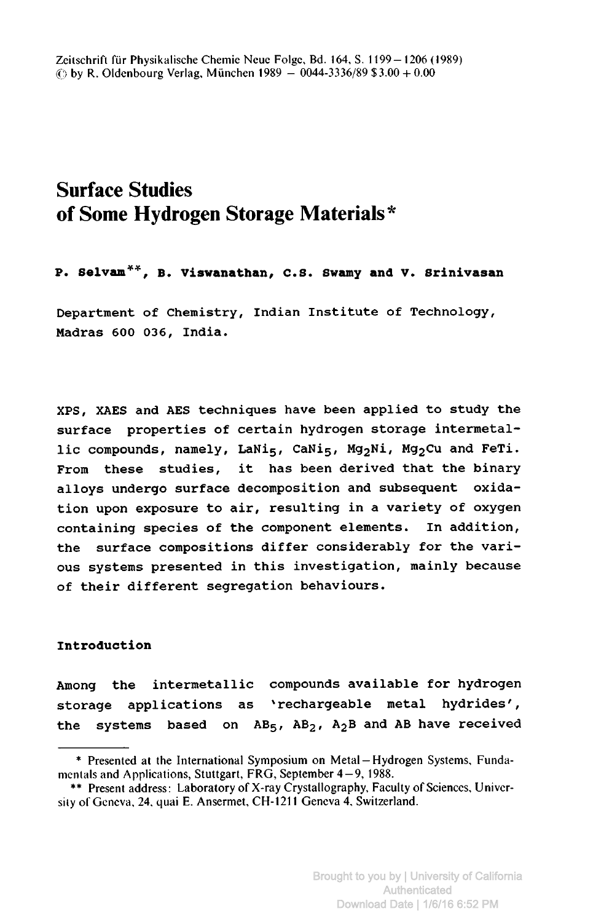# Surface Studies of Some Hydrogen Storage Materials\*

P. Selvam\*\*, b. Viswanathan, C.S. Swamy and V. Srinivasan

Department of Chemistry, Indian Institute of Technology, Madras <sup>600</sup> 036, India.

XPS, XAES and AES techniques have been applied to study the surface properties of certain hydrogen storage intermetallic compounds, namely, LaNi<sub>5</sub>, CaNi<sub>5</sub>, Mg<sub>2</sub>Ni, Mg<sub>2</sub>Cu and FeTi. From these studies, it has been derived that the binary alloys undergo surface decomposition and subsequent oxidation upon exposure to air, resulting in <sup>a</sup> variety of oxygen containing species of the component elements. In addition, the surface compositions differ considerably for the various systems presented in this investigation, mainly because of their different segregation behaviours.

## Introduction

Among the intermetallic compounds available for hydrogen storage applications as 'rechargeable metal hydrides', the systems based on  $AB_5$ ,  $AB_2$ ,  $A_2B$  and AB have received

<sup>\*</sup> Presented at the International Symposium on Metal Hydrogen Systems, Funda-— mentals and Applications, Stuttgart, FRG, September 4-9, 1988.

<sup>\*\*</sup> Present address: Laboratory of X-ray Crystallography, Faculty of Sciences, University of Geneva, 24, quai E. Ansermet, CH-1211 Geneva 4, Switzerland.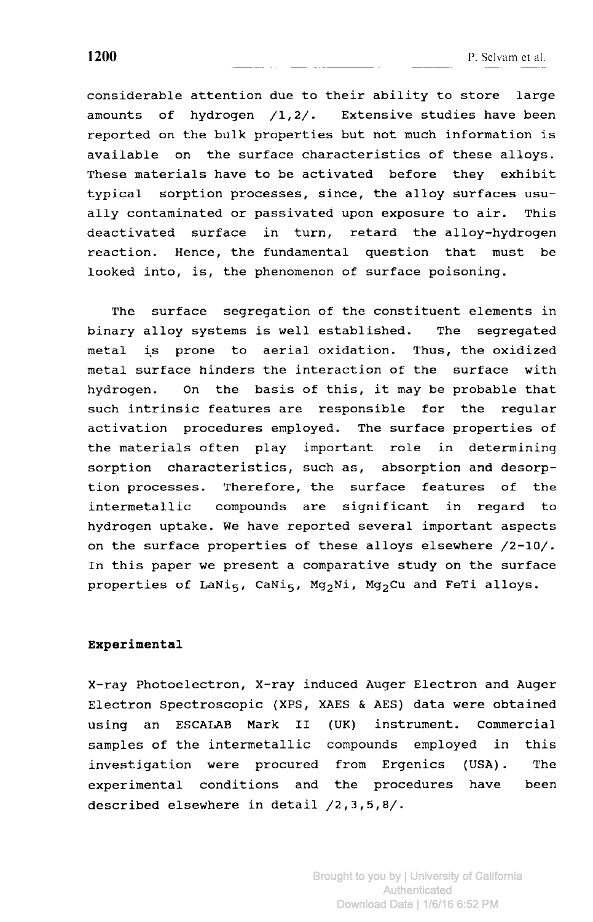considerable attention due to their ability to store large amounts of hydrogen /1,2/. Extensive studies have been reported on the bulk properties but not much information is available on the surface characteristics of these alloys. These materials have to be activated before they exhibit typical sorption processes, since, the alloy surfaces usually contaminated or passivated upon exposure to air. This deactivated surface in turn, retard the alloy-hydrogen reaction. Hence, the fundamental question that must be looked into, is, the phenomenon of surface poisoning.

The surface segregation of the constituent elements in binary alloy systems is well established. The segregated metal is prone to aerial oxidation. Thus, the oxidized metal surface hinders the interaction of the surface with hydrogen. On the basis of this, it may be probable that such intrinsic features are responsible for the regular activation procedures employed. The surface properties of the materials often play important role in determining sorption characteristics, such as, absorption and desorption processes. Therefore, the surface features of the intermetallic compounds are significant in regard to hydrogen uptake. We have reported several important aspects on the surface properties of these alloys elsewhere /2-10/. In this paper we present <sup>a</sup> comparative study on the surface properties of LaNi<sub>5</sub>, CaNi<sub>5</sub>, Mg<sub>2</sub>Ni, Mg<sub>2</sub>Cu and FeTi alloys.

#### Experimental

X-ray Photoelectron, X-ray induced Auger Electron and Auger Electron Spectroscopic (XPS, XAES & AES) data were obtained using an ESCALAB Mark II (UK) instrument. Commercial samples of the intermetallic compounds employed in this investigation were procured from Ergenics (USA). The experimental conditions and the procedures have been described elsewhere in detail /2,3,5,8/.

Brought to you by | University of California Authenticated Download Date | 1/6/16 6:52 PM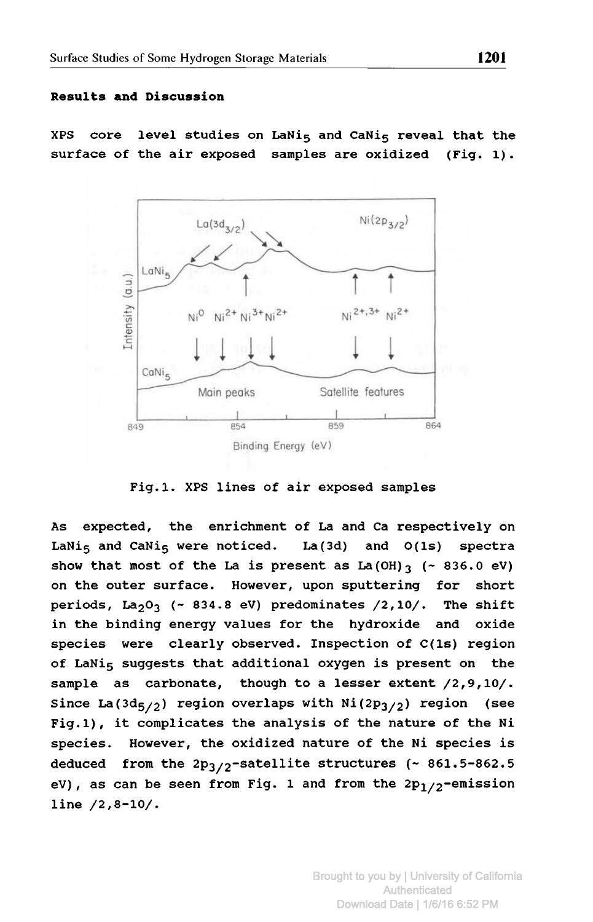### Results and Discussion

XPS core level studies on LaNi<sub>5</sub> and CaNi<sub>5</sub> reveal that the surface of the air exposed samples are oxidized (Fig. 1).



Fig.l. XPS lines of air exposed samples

As expected, the enrichment of La and Ca respectively on LaNi<sub>5</sub> and CaNi<sub>5</sub> were noticed. La(3d) and  $O(1s)$  spectra show that most of the La is present as  $La(OH)_{3}$  (~ 836.0 eV) on the outer surface. However, upon sputtering for short periods, La<sub>2</sub>0<sub>3</sub> (~ 834.8 eV) predominates  $/2,10/$ . The shift in the binding energy values for the hydroxide and oxide species were clearly observed. Inspection of C(ls) region of LaNi<sub>5</sub> suggests that additional oxygen is present on the sample as carbonate, though to <sup>a</sup> lesser extent /2,9,10/. Since La(3d<sub>5/2</sub>) region overlaps with Ni(2p<sub>3/2</sub>) region (see Fig.l), it complicates the analysis of the nature of the Ni species. However, the oxidized nature of the Ni species is deduced from the  $2p_3/2$ -satellite structures (~ 861.5-862.5 eV), as can be seen from Fig. 1 and from the 2 ${\tt p}_{1/2}$ -emission line /2,8-10/.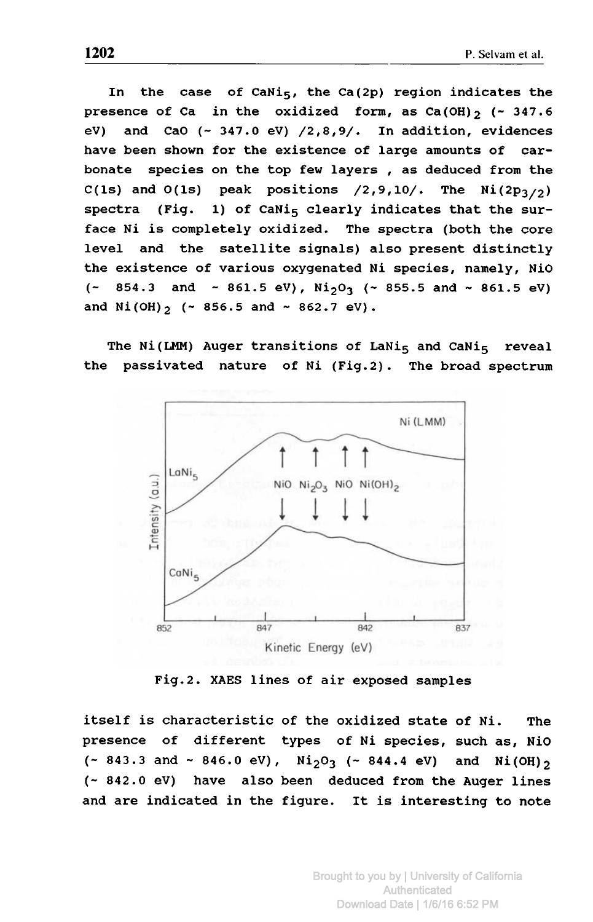In the case of CaNi<sub>5</sub>, the Ca(2p) region indicates the presence of Ca in the oxidized form, as  $Ca(OH)_{2}$  (~ 347.6) eV) and CaO  $(\sim 347.0 \text{ eV})$  /2,8,9/. In addition, evidences have been shown for the existence of large amounts of carbonate species on the top few layers , as deduced from the C(1s) and O(1s) peak positions /2,9,10/. The Ni(2p<sub>3/2</sub>)<br>spectra (Fig. 1) of CaNi<sub>s</sub> clearly indicates that the sur-(Fig. 1) of CaNi<sub>5</sub> clearly indicates that the surface Ni is completely oxidized. The spectra (both the core level and the satellite signals) also present distinctly the existence of various oxygenated Ni species, namely, NiO  $($   $\sim$  854.3 and  $\sim$  861.5 eV), Ni<sub>2</sub>O<sub>3</sub> ( $\sim$  855.5 and  $\sim$  861.5 eV) and  $Ni(OH)_{2}$  (~ 856.5 and ~ 862.7 eV).

The Ni(LMM) Auger transitions of LaNi<sub>5</sub> and CaNi<sub>5</sub> reveal the passivated nature of Ni (Fig.2). The broad spectrum



Fig.2. XAES lines of air exposed samples

itself is characteristic of the oxidized state of Ni. The presence of different types of Ni species, such as, NiO  $(- 843.3 \text{ and } -846.0 \text{ eV})$ ,  $Ni_{2}O_{3}$   $(- 844.4 \text{ eV})$  and  $Ni(OH)_{2}$ (- 842.0 eV) have also been deduced from the Auger lines and are indicated in the figure. It is interesting to note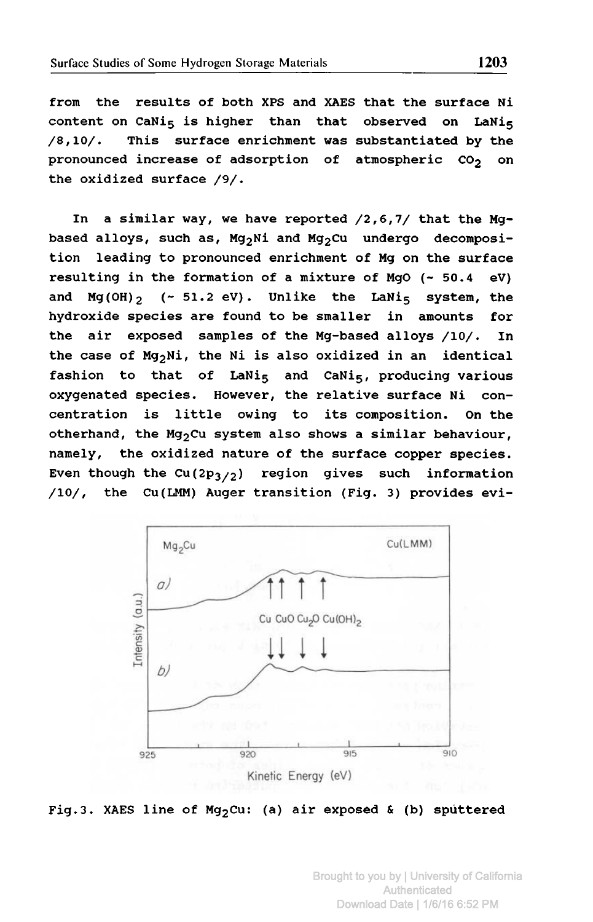from the results of both XPS and XAES that the surface Ni content on CaNi<sub>5</sub> is higher than that observed on LaNi<sub>5</sub> /8,10/. This surface enrichment was substantiated by the pronounced increase of adsorption of atmospheric CO<sub>2</sub> on the oxidized surface /9/.

In <sup>a</sup> similar way, we have reported /2,6,7/ that the Mgbased alloys, such as,  $Mg_2Ni$  and  $Mg_2Cu$  undergo decomposition leading to pronounced enrichment of Mg on the surface resulting in the formation of a mixture of MgO  $(-50.4 \text{ eV})$ and  $Mg(OH)_{2}$  (~ 51.2 eV). Unlike the LaNi<sub>5</sub> system, the hydroxide species are found to be smaller in amounts for the air exposed samples of the Mg-based alloys /10/. In the case of Mg<sub>2</sub>Ni, the Ni is also oxidized in an identical fashion to that of LaNis and CaNis, producing various oxygenated species. However, the relative surface Ni concentration is little owing to its composition. On the otherhand, the Mg<sub>2</sub>Cu system also shows a similar behaviour, namely, the oxidized nature of the surface copper species. Even though the Cu(2p<sub>3/2</sub>) region gives such information /10/, the Cu(LMM) Auger transition (Fig. 3) provides evi-



Fig.3. XAES line of Mg<sub>2</sub>Cu: (a) air exposed & (b) sputtered

Brought to you by | University of California Authenticated Download Date | 1/6/16 6:52 PM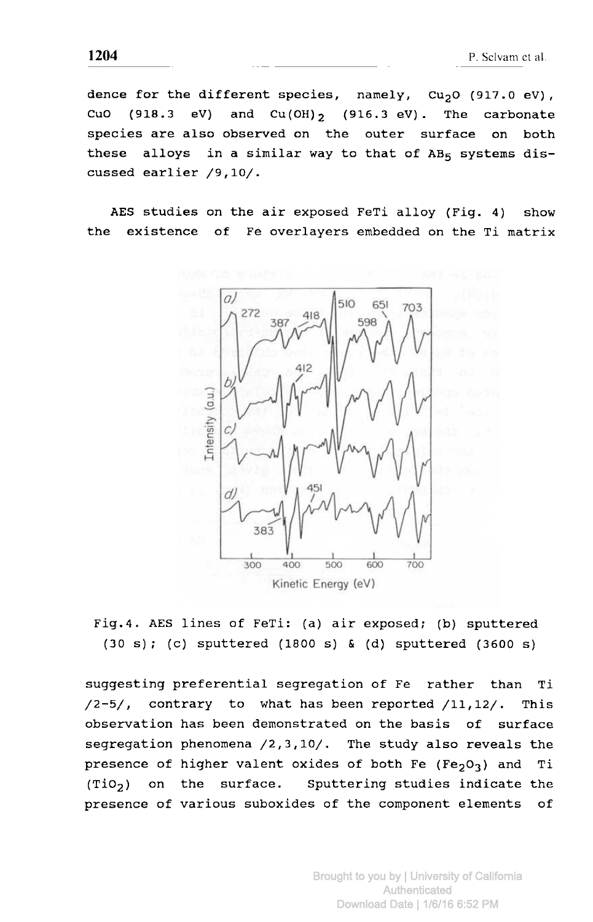dence for the different species, namely,  $Cu_2O$  (917.0 eV), CuO (918.3 eV) and  $Cu(OH)_{2}$  (916.3 eV). The carbonate species are also observed on the outer surface on both these alloys in a similar way to that of  $AB_5$  systems discussed earlier /9,10/.

AES studies on the air exposed FeTi alloy (Fig. 4) show the existence of Fe overlayers embedded on the Ti matrix



Fig.4. AES lines of FeTi: (a) air exposed; (b) sputtered (30 s); (c) sputtered (1800 s) & (d) sputtered (3600 s)

suggesting preferential segregation of Fe rather than Ti /2-5/, contrary to what has been reported /ll,12/. This observation has been demonstrated on the basis of surface segregation phenomena /2,3,10/. The study also reveals the presence of higher valent oxides of both Fe (Fe<sub>203</sub>) and Ti  $(Tio<sub>2</sub>)$  on the surface. Sputtering studies indicate the presence of various suboxides of the component elements of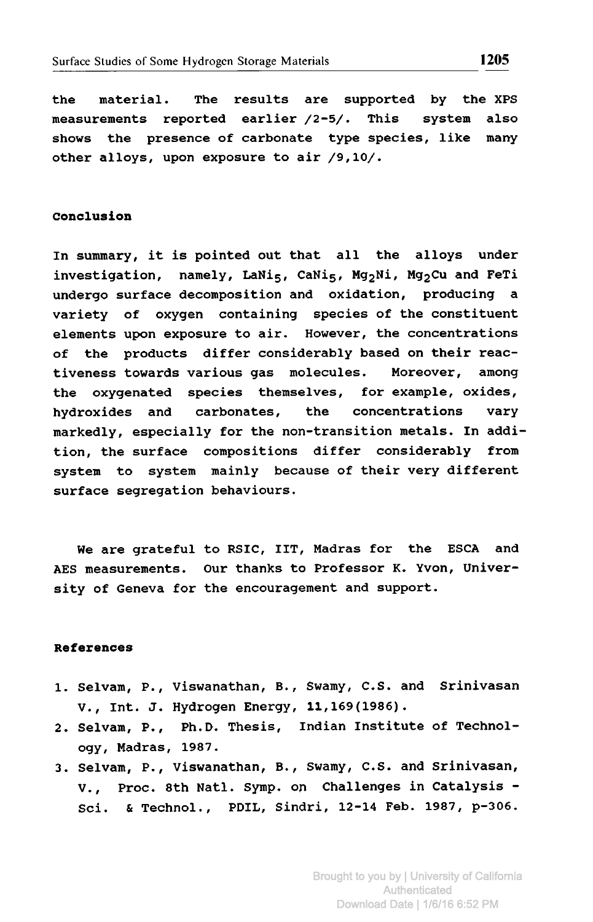the material. The results are supported by the XPS measurements reported earlier /2-5/. This system also shows the presence of carbonate type species, like many other alloys, upon exposure to air /9,10/.

### Conclusion

In summary, it is pointed out that all the alloys under investigation, namely, LaNi $_5$ , CaNi $_5$ , Mg<sub>2</sub>Ni, Mg<sub>2</sub>Cu and FeTi undergo surface decomposition and oxidation, producing <sup>a</sup> variety of oxygen containing species of the constituent elements upon exposure to air. However, the concentrations of the products differ considerably based on their reactiveness towards various gas molecules. Moreover, among the oxygenated species themselves, for example, oxides, hydroxides and carbonates, the concentrations vary markedly, especially for the non-transition metals. In addition, the surface compositions differ considerably from system to system mainly because of their very different surface segregation behaviours.

We are grateful to RSIC, IIT, Madras for the ESCA and AES measurements. Our thanks to Professor K. Yvon, University of Geneva for the encouragement and support.

#### References

- 1. Selvam, P., Viswanathan, B., Swamy, C.S. and Srinivasan V., Int. J. Hydrogen Energy, 11,169(1986).
- 2. Selvam, P., Ph.D. Thesis, Indian Institute of Technology, Madras, 1987.
- 3. Selvam, P., Viswanathan, B., Swamy, C.S. and Srinivasan, V., Proc. 8th Natl. Symp. on Challenges in Catalysis - Sci. & Technol., PDIL, Sindri, 12-14 Feb. 1987, p-306.